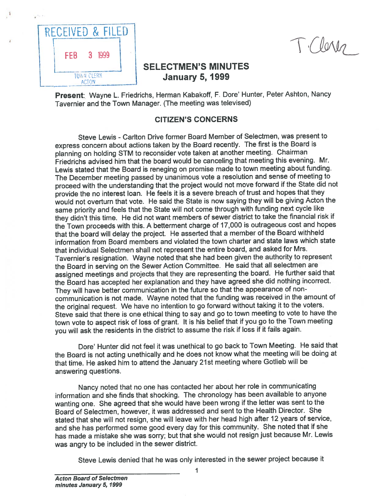

# SELECTMEN'S MINUTES TOWN CLERK **January 5, 1999**

Present: Wayne L. Friedrichs, Herman Kabakoff, F. Dore' Hunter, Peter Ashton, Nancy Tavernier and the Town Manager. (The meeting was televised)

### CITIZEN'S CONCERNS

Steve Lewis - Carlton Drive former Board Member of Selectmen, was present to express concern about actions taken by the Board recently. The first is the Board is <sup>p</sup>lanning on holding STM to reconsider vote taken at another meeting. Chairman Friedrichs advised him that the board would be canceling that meeting this evening. Mr. Lewis stated that the Board is reneging on promise made to town meeting about funding. The December meeting passed by unanimous vote <sup>a</sup> resolution and sense of meeting to procee<sup>d</sup> with the understanding that the project would not move forward if the State did not provide the no interest loan. He feels it is <sup>a</sup> severe breach of trust and hopes that they would not overturn that vote. He said the State is now saying they will be <sup>g</sup>iving Acton the same priority and feels that the State will not come through with funding next cycle like they didn't this time. He did not want members of sewer district to take the financial risk if the Town proceeds with this. <sup>A</sup> betterment charge of 17,000 is outrageous cost and hopes that the board will delay the project. He asserted that <sup>a</sup> member of the Board withheld information from Board members and violated the town charter and state laws which state that individual Selectmen shall not represen<sup>t</sup> the entire board, and asked for Mrs. Tavernier's resignation. Wayne noted that she had been <sup>g</sup>iven the authority to represen<sup>t</sup> the Board in serving on the Sewer Action Committee. He said that all selectmen are assigned meetings and projects that they are representing the board. He further said that the Board has accepted her explanation and they have agree<sup>d</sup> she did nothing incorrect. They will have better communication in the future so that the appearance of noncommunication is not made. Wayne noted that the funding was received in the amount of the original request. We have no intention to go forward without taking it to the voters. Steve said that there is one ethical thing to say and go to town meeting to vote to have the town vote to aspec<sup>t</sup> risk of loss of grant. It is his belief that if you go to the Town meeting you will ask the residents in the district to assume the risk if loss if it fails again.

Dore' Hunter did not feel it was unethical to go back to Town Meeting. He said that the Board is not acting unethically and he does not know what the meeting will be doing at that time. He asked him to attend the January 21st meeting where Gotlieb will be answering questions.

Nancy noted that no one has contacted her about her role in communicating information and she finds that shocking. The chronology has been available to anyone wanting one. She agree<sup>d</sup> that she would have been wrong if the letter was sent to the Board of Selectmen, however, it was addressed and sent to the Health Director. She stated that she will not resign, she will leave with her head high after <sup>12</sup> years of service, and she has performed some goo<sup>d</sup> every day for this community. She noted that if she has made <sup>a</sup> mistake she was sorry; but that she would not resign just because Mr. Lewis was angry to be included in the sewer district.

Steve Lewis denied that he was only interested in the sewer project because it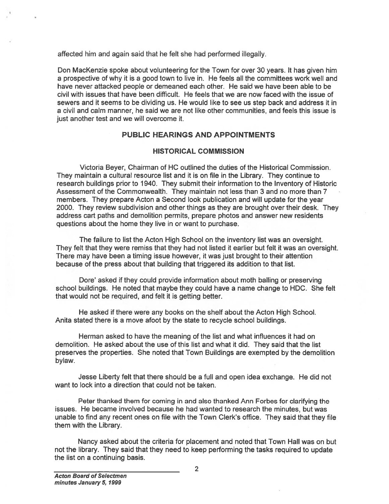affected him and again said that he felt she had performed illegally.

Don MacKenzie spoke about volunteering for the Town for over 30 years. It has given him <sup>a</sup> prospective of why it is <sup>a</sup> good town to live in. He feels all the committees work well and have never attacked people or demeaned each other. He said we have been able to be civil with issues that have been difficult. He feels that we are now faced with the issue of sewers and it seems to be dividing us. He would like to see us step back and address it in <sup>a</sup> civil and calm manner, he said we are not like other communities, and feels this issue is just another test and we will overcome it.

### PUBLIC HEARINGS AND APPOINTMENTS

#### HISTORICAL COMMISSION

Victoria Beyer, Chairman of HC outlined the duties of the Historical Commission. They maintain <sup>a</sup> cultural resource list and it is on file in the Library. They continue to research buildings prior to 1940. They submit their information to the Inventory of Historic Assessment of the Commonwealth. They maintain not less than 3 and no more than 7 members. They prepare Acton <sup>a</sup> Second look publication and will update for the year 2000. They review subdivision and other things as they are brought over their desk. They address cart paths and demolition permits, prepare photos and answer new residents questions about the home they live in or want to purchase. affected him and again said that he felt<br>
Don MacKenzie spoke about volunteer<br>
a prospective of why it is a good town throw<br>
have never attacked people or demear<br>
civil with issues that have been difficult<br>
a coivil and ca

The failure to list the Acton High School on the inventory list was an oversight. They felt that they were remiss that they had not listed it earlier but felt it was an oversight. There may have been <sup>a</sup> timing issue however, it was just brought to their attention because of the press about that building that triggered its addition to that list.

Dote' asked if they could provide information about moth balling or preserving school buildings. He noted that maybe they could have <sup>a</sup> name change to HDC. She felt that would not be required, and felt it is getting better.

He asked if there were any books on the shelf about the Acton High School. Anita stated there is <sup>a</sup> move afoot by the state to recycle school buildings.

Herman asked to have the meaning of the list and what influences it had on demolition. He asked about the use of this list and what it did. They said that the list preserves the properties. She noted that Town Buildings are exempted by the demolition bylaw.

Jesse Liberty felt that there should be <sup>a</sup> full and open idea exchange. He did not want to lock into <sup>a</sup> direction that could not be taken.

Peter thanked them for coming in and also thanked Ann Forbes for clarifying the issues. He became involved because he had wanted to research the minutes, but was unable to find any recent ones on file with the Town Clerk's office. They said that they file them with the Library.

Nancy asked about the criteria for placement and noted that Town Hall was on but not the library. They said that they need to keep performing the tasks required to update the list on a continuing basis.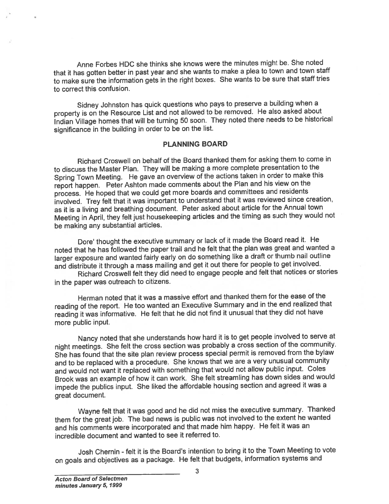Anne Forbes HDC she thinks she knows were the minutes might be. She noted that it has gotten better in pas<sup>t</sup> year and she wants to make <sup>a</sup> <sup>p</sup>lea to town and town staff to make sure the information gets in the right boxes. She wants to be sure that staff tries to correct this confusion.

Sidney Johnston has quick questions who pays to preserve <sup>a</sup> building when <sup>a</sup> property is on the Resource List and not allowed to be removed. He also asked about Indian Village homes that will be turning 50 soon. They noted there needs to be historical significance in the building in order to be on the list.

#### PLANNING BOARD

Richard Croswell on behalf of the Board thanked them for asking them to come in to discuss the Master Plan. They will be making <sup>a</sup> more complete presentation to the Spring Town Meeting. He gave an overview of the actions taken in order to make this repor<sup>t</sup> happen. Peter Ashton made comments about the Plan and his view on the process. He hoped that we could ge<sup>t</sup> more boards and committees and residents involved. Trey felt that it was important to understand that it was reviewed since creation, as it is <sup>a</sup> living and breathing document. Peter asked about article for the Annual town Meeting in April, they felt just housekeeping articles and the timing as such they would not be making any substantial articles.

Dore' thought the executive summary or lack of it made the Board read it. He noted that he has followed the paper trail and he felt that the <sup>p</sup>lan was grea<sup>t</sup> and wanted <sup>a</sup> larger exposure and wanted fairly early on do something like <sup>a</sup> draft or thumb nail outline and distribute it through <sup>a</sup> mass mailing and ge<sup>t</sup> it out there for people to ge<sup>t</sup> involved.

Richard Croswell felt they did need to engage people and felt that notices or stories in the paper was outreach to citizens.

Herman noted that it was <sup>a</sup> massive effort and thanked them for the ease of the reading of the report. He too wanted an Executive Summary and in the end realized that reading it was informative. He felt that he did not find it unusual that they did not have more public input.

Nancy noted that she understands how hard it is to ge<sup>t</sup> people involved to serve at night meetings. She felt the cross section was probably <sup>a</sup> cross section of the community. She has found that the site <sup>p</sup>lan review process special permit is removed from the bylaw and to be replaced with <sup>a</sup> procedure. She knows that we are <sup>a</sup> very unusual community and would not want it replaced with something that would not allow public input. Coles Brook was an example of how it can work. She felt streamling has down sides and would impede the publics input. She liked the affordable housing section and agree<sup>d</sup> it was <sup>a</sup> grea<sup>t</sup> document.

Wayne felt that it was goo<sup>d</sup> and he did not miss the executive summary. Thanked them for the grea<sup>t</sup> job. The bad news is public was not involved to the extent he wanted and his comments were incorporated and that made him happy. He felt it was an incredible document and wanted to see it referred to.

Josh Chernin - felt it is the Board's intention to bring it to the Town Meeting to vote on goals and objectives as <sup>a</sup> package. He felt that budgets, information systems and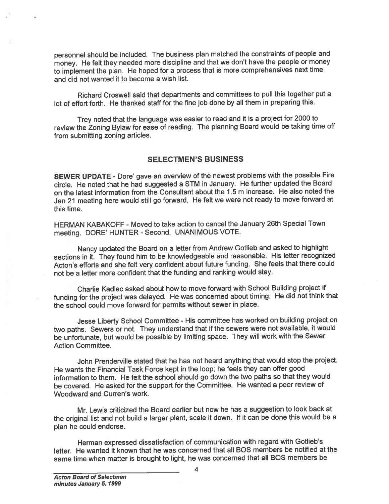personne<sup>l</sup> should be included. The business <sup>p</sup>lan matched the constraints of people and money. He felt they needed more discipline and that we don't have the people or money to implement the <sup>p</sup>lan. He hoped for <sup>a</sup> process that is more comprehensives next time and did not wanted it to become <sup>a</sup> wish list.

Richard Croswell said that departments and committees to pull this together pu<sup>t</sup> <sup>a</sup> lot of effort forth. He thanked staff for the fine job done by all them in preparing this.

Trey noted that the language was easier to read and it is <sup>a</sup> project for <sup>2000</sup> to review the Zoning Bylaw for ease of reading. The <sup>p</sup>lanning Board would be taking time off from submitting zoning articles.

#### SELECTMEN'S BUSINESS

SEWER UPDATE - Dore' gave an overview of the newest problems with the possible Fire circle. He noted that he had suggested <sup>a</sup> STM in January. He further updated the Board on the latest information from the Consultant about the 1.5 <sup>m</sup> increase. He also noted the Jan <sup>21</sup> meeting here would still go forward. He felt we were not ready to move forward at this time.

HERMAN KABAKOFF - Moved to take action to cancel the January 26th Special Town meeting. DORE' HUNTER - Second. UNANIMOUS VOTE.

Nancy updated the Board on <sup>a</sup> letter from Andrew Gotlieb and asked to highlight sections in it. They found him to be knowledgeable and reasonable. His letter recognized Acton's efforts and she felt very confident about future funding. She feels that there could not be <sup>a</sup> letter more confident that the funding and ranking would stay.

Charlie Kadlec asked about how to move forward with School Building project if funding for the project was delayed. He was concerned about timing. He did not think that the school could move forward for permits without sewer in place.

Jesse Liberty School Committee - His committee has worked on building project on two paths. Sewers or not. They understand that if the sewers were not available, it would be unfortunate, but would be possible by limiting space. They will work with the Sewer Action Committee.

John Prenderville stated that he has not heard anything that would stop the project. He wants the Financial Task Force kept in the loop; he feels they can offer goo<sup>d</sup> information to them. He felt the school should go down the two paths so that they would be covered. He asked for the suppor<sup>t</sup> for the Committee. He wanted <sup>a</sup> peer review of Woodward and Curren's work.

Mr. Lewis criticized the Board earlier but now he has <sup>a</sup> suggestion to look back at the original list and not build <sup>a</sup> larger <sup>p</sup>lant, scale it down. If it can be done this would be <sup>a</sup> plan he could endorse.

Herman expresse<sup>d</sup> dissatisfaction of communication with regar<sup>d</sup> with Gotlieb's letter. He wanted it known that he was concerned that all SOS members be notified at the same time when matter is brought to light, he was concerned that all BOS members be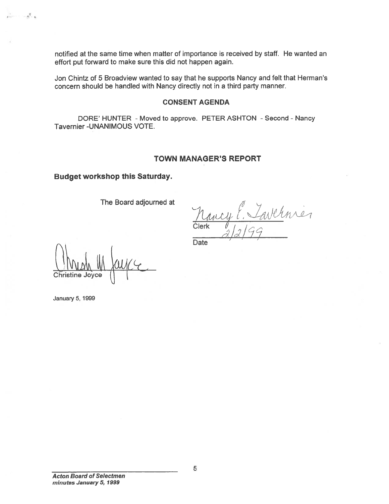notified at the same time when matter of importance is received by staff. He wanted an effort pu<sup>t</sup> forward to make sure this did not happen again.

Jon Chintz of 5 Broadview wanted to say that he supports Nancy and felt that Herman's concern should be handled with Nancy directly not in <sup>a</sup> third party manner.

#### CONSENT AGENDA

DORE' HUNTER - Moved to approve. PETER ASHTON - Second - Nancy Tavernier -UNANIMOUS VOTE.

#### TOWN MANAGER'S REPORT

Budget workshop this Saturday.

The Board adjourned at

 $\iota$  , Clerk (*I* i i i I 1 (-1  $\gamma$  /  $\alpha$  / /  $\gamma$ 

**Date** 

Christine Joyce

January 5, 1999

5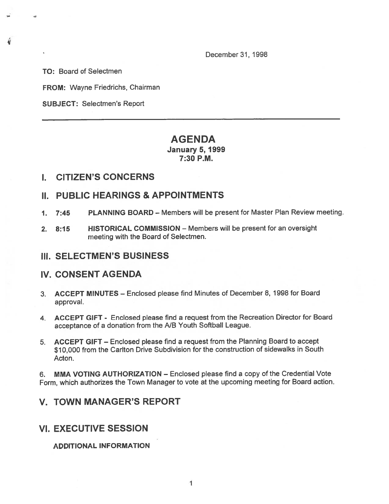December 31, 1998

TO: Board of Selectmen

FROM: Wayne Friedrichs, Chairman

SUBJECT: Selectmen's Report

## AGENDA January 5, 1999 7:30 P.M.

### I. CITIZEN'S CONCERNS

## II. PUBLIC HEARINGS & APPOINTMENTS

- 1. 7:45 PLANNING BOARD Members will be presen<sup>t</sup> for Master Plan Review meeting.
- 2. 8:15 HISTORICAL COMMISSION Members will be presen<sup>t</sup> for an oversight meeting with the Board of Selectmen.

### III. SELECTMEN'S BUSINESS

### IV. CONSENT AGENDA

- 3. ACCEPT MINUTES Enclosed please find Minutes of December 8, 1998 for Board approval.
- 4. ACCEPT GIFT Enclosed <sup>p</sup>lease find <sup>a</sup> reques<sup>t</sup> from the Recreation Director for Board acceptance of <sup>a</sup> donation from the NB Youth Softball League.
- 5. ACCEPT GIFT Enclosed please find <sup>a</sup> reques<sup>t</sup> from the Planning Board to accep<sup>t</sup> \$10,000 from the Carlton Drive Subdivision for the construction of sidewalks in South Acton.

6. MMA VOTING AUTHORIZATION — Enclosed please find <sup>a</sup> copy of the Credential Vote Form, which authorizes the Town Manager to vote at the upcoming meeting for Board action.

# V. TOWN MANAGER'S REPORT

# VI. EXECUTIVE SESSION

ADDITIONAL INFORMATION

I